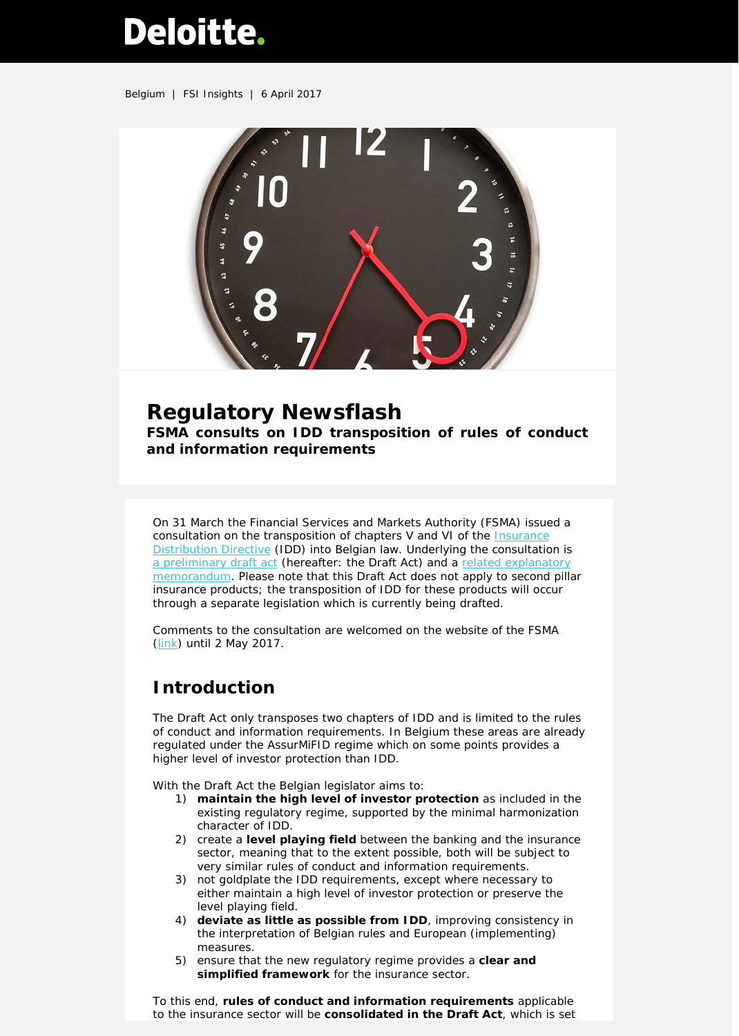# Deloitte.

Belgium | FSI Insights | 6 April 2017



# **Regulatory Newsflash**

**FSMA consults on IDD transposition of rules of conduct and information requirements**

On 31 March the Financial Services and Markets Authority (FSMA) issued a consultation on the transposition of chapters V and VI of the [Insurance](http://eur-lex.europa.eu/legal-content/EN/TXT/PDF/?uri=CELEX:32016L0097&from=en)  [Distribution Directive](http://eur-lex.europa.eu/legal-content/EN/TXT/PDF/?uri=CELEX:32016L0097&from=en) (IDD) into Belgian law. Underlying the consultation is [a preliminary draft act](http://www.fsma.be/%7E/media/Files/fsmafiles/consultaties/2017/2017-03-31_projetIDD.ashx?la=nl) (hereafter: the Draft Act) and a [related explanatory](http://www.fsma.be/%7E/media/Files/fsmafiles/consultaties/2017/2017-03-31_IDDMemorie%20van%20toelichting.ashx?la=nl)  [memorandum.](http://www.fsma.be/%7E/media/Files/fsmafiles/consultaties/2017/2017-03-31_IDDMemorie%20van%20toelichting.ashx?la=nl) Please note that this Draft Act does not apply to second pillar insurance products; the transposition of IDD for these products will occur through a separate legislation which is currently being drafted.

Comments to the consultation are welcomed on the website of the FSMA [\(link\)](http://www.fsma.be/nl/Doormat/Consultations/Cons/participate_consult2017mifid.aspx) until 2 May 2017.

## **Introduction**

The Draft Act only transposes two chapters of IDD and is limited to the rules of conduct and information requirements. In Belgium these areas are already regulated under the AssurMiFID regime which on some points provides a higher level of investor protection than IDD.

With the Draft Act the Belgian legislator aims to:

- 1) **maintain the high level of investor protection** as included in the existing regulatory regime, supported by the minimal harmonization character of IDD.
- 2) create a **level playing field** between the banking and the insurance sector, meaning that to the extent possible, both will be subject to very similar rules of conduct and information requirements.
- 3) not goldplate the IDD requirements, except where necessary to either maintain a high level of investor protection or preserve the level playing field.
- 4) **deviate as little as possible from IDD**, improving consistency in the interpretation of Belgian rules and European (implementing) measures.
- 5) ensure that the new regulatory regime provides a **clear and simplified framework** for the insurance sector.

To this end, **rules of conduct and information requirements** applicable to the insurance sector will be **consolidated in the Draft Act**, which is set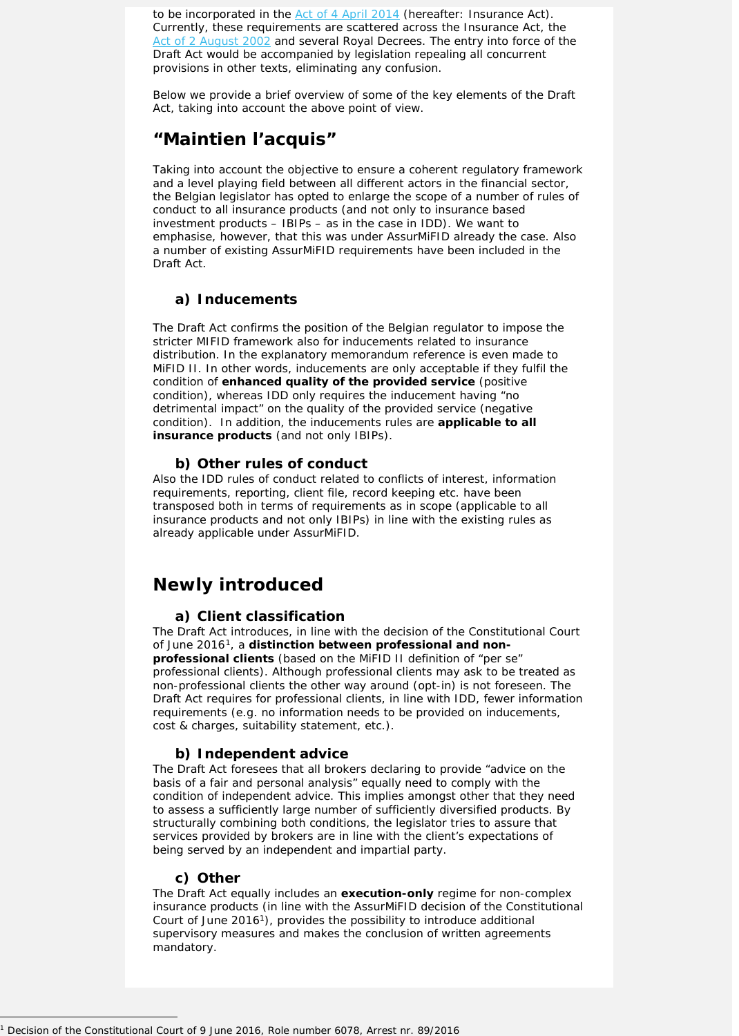to be incorporated in the [Act of 4 April 2014](http://www.fsma.be/%7E/media/Files/fsmafiles/wetgeving/wet_loi/2014-04-04_Wet_Loi.ashx) (hereafter: Insurance Act). Currently, these requirements are scattered across the Insurance Act, the [Act of 2 August 2002](http://www.fsma.be/%7E/media/Files/fsmafiles/wetgeving/wet_loi/2002-08-02_Wet-Loi.ashx) and several Royal Decrees. The entry into force of the Draft Act would be accompanied by legislation repealing all concurrent provisions in other texts, eliminating any confusion.

Below we provide a brief overview of some of the key elements of the Draft Act, taking into account the above point of view.

## **"Maintien l'acquis"**

Taking into account the objective to ensure a coherent regulatory framework and a level playing field between all different actors in the financial sector, the Belgian legislator has opted to enlarge the scope of a number of rules of conduct to all insurance products (and not only to insurance based investment products – IBIPs – as in the case in IDD). We want to emphasise, however, that this was under AssurMiFID already the case. Also a number of existing AssurMiFID requirements have been included in the Draft Act.

## **a) Inducements**

The Draft Act confirms the position of the Belgian regulator to impose the stricter MIFID framework also for inducements related to insurance distribution. In the explanatory memorandum reference is even made to MiFID II. In other words, inducements are only acceptable if they fulfil the condition of **enhanced quality of the provided service** (positive condition), whereas IDD only requires the inducement having "no detrimental impact" on the quality of the provided service (negative condition). In addition, the inducements rules are **applicable to all insurance products** (and not only IBIPs).

### **b) Other rules of conduct**

Also the IDD rules of conduct related to conflicts of interest, information requirements, reporting, client file, record keeping etc. have been transposed both in terms of requirements as in scope (applicable to all insurance products and not only IBIPs) in line with the existing rules as already applicable under AssurMiFID.

## **Newly introduced**

#### <span id="page-1-0"></span>**a) Client classification**

The Draft Act introduces, in line with the decision of the Constitutional Court of June 2016[1](#page-1-1), a **distinction between professional and nonprofessional clients** (based on the MiFID II definition of "per se" professional clients). Although professional clients may ask to be treated as non-professional clients the other way around (opt-in) is not foreseen. The Draft Act requires for professional clients, in line with IDD, fewer information requirements (e.g. no information needs to be provided on inducements, cost & charges, suitability statement, etc.).

#### **b) Independent advice**

The Draft Act foresees that all brokers declaring to provide "advice on the basis of a fair and personal analysis" equally need to comply with the condition of independent advice. This implies amongst other that they need to assess a sufficiently large number of sufficiently diversified products. By structurally combining both conditions, the legislator tries to assure that services provided by brokers are in line with the client's expectations of being served by an independent and impartial party.

#### **c) Other**

 $\overline{a}$ 

The Draft Act equally includes an **execution-only** regime for non-complex insurance products (in line with the AssurMiFID decision of the Constitutional Court of June 201[61\)](#page-1-0), provides the possibility to introduce additional supervisory measures and makes the conclusion of written agreements mandatory.

<span id="page-1-1"></span><sup>1</sup> Decision of the Constitutional Court of 9 June 2016, Role number 6078, Arrest nr. 89/2016